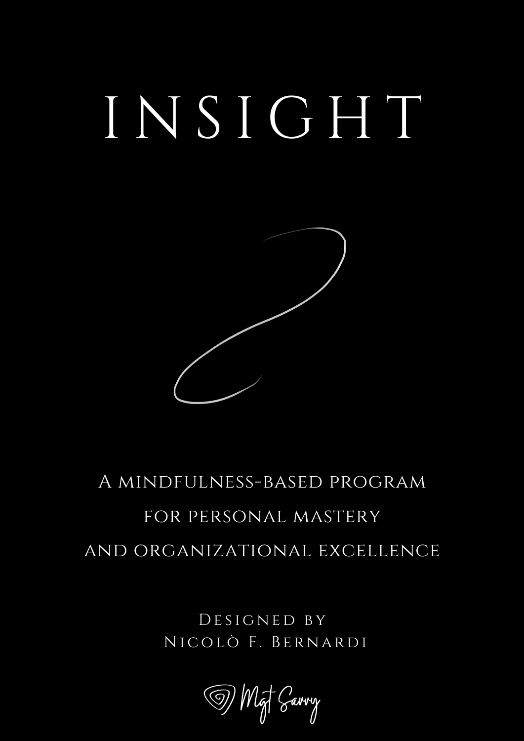# I N S I G H T



### A mindfulness-based program for personal mastery and organizational excellence

DESIGNED BY NICOLÒ F. BERNARDI

(D) MgT Carry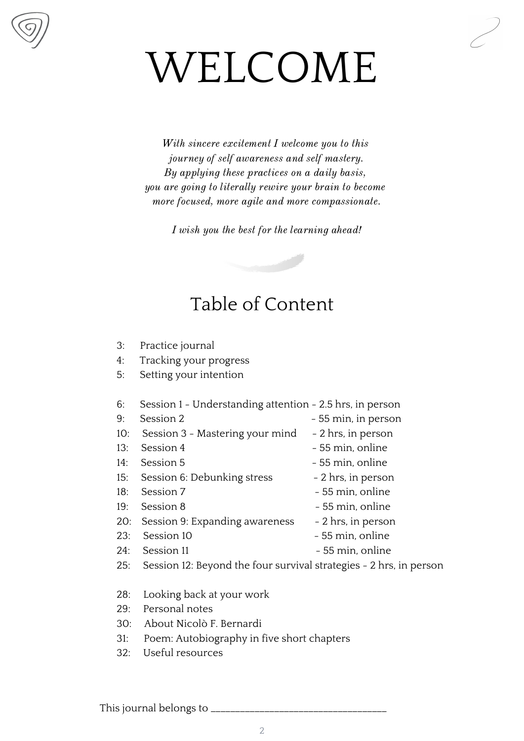## WELCOME

With sincere excitement I welcome you to this journey of self awareness and self mastery. By applying these practices on a daily basis, you are going to literally rewire your brain to become more focused, more agile and more compassionate.

I wish you the best for the learning ahead!



- 3: Practice journal
- 4: Tracking your progress
- 5: Setting your intention
- 6: Session 1 Understanding attention 2.5 hrs, in person
- 9: Session 2 55 min, in person
- 10: Session 3 Mastering your mind 2 hrs, in person
- 13: Session 4 55 min, online
- 14: Session 5 55 min, online
- 15: Session 6: Debunking stress 2 hrs, in person
- 18: Session 7 55 min, online
- 19: Session 8 55 min, online
- 20: Session 9: Expanding awareness 2 hrs, in person
- $23<sup>°</sup>$  Session 10  $-55$  min, online
- 
- 24: Session 11 55 min, online
- 25: Session 12: Beyond the four survival strategies 2 hrs, in person
- 28: Looking back at your work
- 29: Personal notes
- 30: About Nicolò F. Bernardi
- 31: Poem: Autobiography in five short chapters
- 32: Useful resources

This journal belongs to \_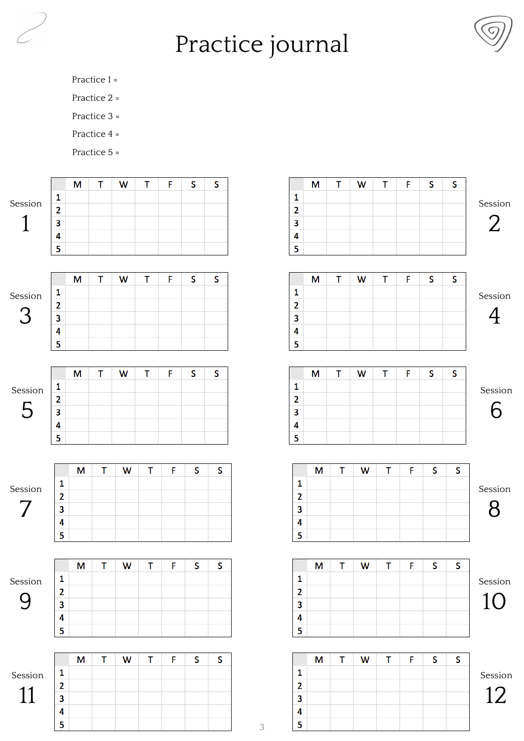## Practice journal



- Practice 1 =
- Practice 2 =
- Practice 3 =
- Practice 4 =
- Practice 5 =

| 1<br>$\mathbf{2}$<br>3<br>3<br>4<br>5<br>5<br>F<br>S<br>S<br>T<br>F<br>S<br>S<br>Τ<br>W<br>T<br>T<br>M<br>M<br>W<br>1<br>$\mathbf{2}$<br>3<br>3<br>4<br>5<br>5<br>S<br>S<br>S<br>T<br>F<br>S<br>M<br>Τ<br>W<br>т<br>F<br>М<br>Τ<br>W<br>1<br>$\mathbf{2}$<br>2<br>3<br>3<br>4<br>4<br>5<br>5<br>F<br>S<br>T<br>S<br>S<br>T<br>T<br>S<br>T<br>F<br>M<br>W<br>M<br>W<br>1<br>1<br>$\overline{\mathbf{2}}$<br>$\mathbf{2}$<br>3<br>3<br>4<br>4<br>5<br>5<br>S<br>F<br>S<br>$\mathsf T$<br>F<br>S<br>S<br>T<br>T<br>T<br>M<br>W<br>M<br>W<br>1<br>1<br>$\mathbf{2}$<br>$\mathbf{2}$<br>3<br>3<br>4<br>4<br>5<br>5<br>T<br>F<br>F<br>S<br>S<br>M<br>W<br>T<br>S<br>S<br>M<br>$\mathsf T$<br>W<br>T<br>$\mathbf{1}$<br>1<br>$\overline{\mathbf{2}}$<br>$\mathbf{2}$<br>3<br>3<br>4<br>4<br>5<br>5<br>$\,3$ |                         | M | T | W | т | F | S | S |
|------------------------------------------------------------------------------------------------------------------------------------------------------------------------------------------------------------------------------------------------------------------------------------------------------------------------------------------------------------------------------------------------------------------------------------------------------------------------------------------------------------------------------------------------------------------------------------------------------------------------------------------------------------------------------------------------------------------------------------------------------------------------------------------------------|-------------------------|---|---|---|---|---|---|---|
|                                                                                                                                                                                                                                                                                                                                                                                                                                                                                                                                                                                                                                                                                                                                                                                                      | 1                       |   |   |   |   |   |   |   |
|                                                                                                                                                                                                                                                                                                                                                                                                                                                                                                                                                                                                                                                                                                                                                                                                      | $\overline{2}$          |   |   |   |   |   |   |   |
|                                                                                                                                                                                                                                                                                                                                                                                                                                                                                                                                                                                                                                                                                                                                                                                                      |                         |   |   |   |   |   |   |   |
|                                                                                                                                                                                                                                                                                                                                                                                                                                                                                                                                                                                                                                                                                                                                                                                                      | 4                       |   |   |   |   |   |   |   |
|                                                                                                                                                                                                                                                                                                                                                                                                                                                                                                                                                                                                                                                                                                                                                                                                      |                         |   |   |   |   |   |   |   |
|                                                                                                                                                                                                                                                                                                                                                                                                                                                                                                                                                                                                                                                                                                                                                                                                      |                         |   |   |   |   |   |   |   |
|                                                                                                                                                                                                                                                                                                                                                                                                                                                                                                                                                                                                                                                                                                                                                                                                      |                         |   |   |   |   |   |   |   |
|                                                                                                                                                                                                                                                                                                                                                                                                                                                                                                                                                                                                                                                                                                                                                                                                      | $\mathbf{1}$            |   |   |   |   |   |   |   |
|                                                                                                                                                                                                                                                                                                                                                                                                                                                                                                                                                                                                                                                                                                                                                                                                      | $\overline{\mathbf{2}}$ |   |   |   |   |   |   |   |
|                                                                                                                                                                                                                                                                                                                                                                                                                                                                                                                                                                                                                                                                                                                                                                                                      |                         |   |   |   |   |   |   |   |
|                                                                                                                                                                                                                                                                                                                                                                                                                                                                                                                                                                                                                                                                                                                                                                                                      | 4                       |   |   |   |   |   |   |   |
|                                                                                                                                                                                                                                                                                                                                                                                                                                                                                                                                                                                                                                                                                                                                                                                                      |                         |   |   |   |   |   |   |   |
|                                                                                                                                                                                                                                                                                                                                                                                                                                                                                                                                                                                                                                                                                                                                                                                                      |                         |   |   |   |   |   |   |   |
|                                                                                                                                                                                                                                                                                                                                                                                                                                                                                                                                                                                                                                                                                                                                                                                                      |                         |   |   |   |   |   |   |   |
|                                                                                                                                                                                                                                                                                                                                                                                                                                                                                                                                                                                                                                                                                                                                                                                                      | 1                       |   |   |   |   |   |   |   |
|                                                                                                                                                                                                                                                                                                                                                                                                                                                                                                                                                                                                                                                                                                                                                                                                      |                         |   |   |   |   |   |   |   |
|                                                                                                                                                                                                                                                                                                                                                                                                                                                                                                                                                                                                                                                                                                                                                                                                      |                         |   |   |   |   |   |   |   |
|                                                                                                                                                                                                                                                                                                                                                                                                                                                                                                                                                                                                                                                                                                                                                                                                      |                         |   |   |   |   |   |   |   |
|                                                                                                                                                                                                                                                                                                                                                                                                                                                                                                                                                                                                                                                                                                                                                                                                      |                         |   |   |   |   |   |   |   |
|                                                                                                                                                                                                                                                                                                                                                                                                                                                                                                                                                                                                                                                                                                                                                                                                      |                         |   |   |   |   |   |   |   |
|                                                                                                                                                                                                                                                                                                                                                                                                                                                                                                                                                                                                                                                                                                                                                                                                      |                         |   |   |   |   |   |   |   |
|                                                                                                                                                                                                                                                                                                                                                                                                                                                                                                                                                                                                                                                                                                                                                                                                      |                         |   |   |   |   |   |   |   |
|                                                                                                                                                                                                                                                                                                                                                                                                                                                                                                                                                                                                                                                                                                                                                                                                      |                         |   |   |   |   |   |   |   |
|                                                                                                                                                                                                                                                                                                                                                                                                                                                                                                                                                                                                                                                                                                                                                                                                      |                         |   |   |   |   |   |   |   |
|                                                                                                                                                                                                                                                                                                                                                                                                                                                                                                                                                                                                                                                                                                                                                                                                      |                         |   |   |   |   |   |   |   |
|                                                                                                                                                                                                                                                                                                                                                                                                                                                                                                                                                                                                                                                                                                                                                                                                      |                         |   |   |   |   |   |   |   |
|                                                                                                                                                                                                                                                                                                                                                                                                                                                                                                                                                                                                                                                                                                                                                                                                      |                         |   |   |   |   |   |   |   |
|                                                                                                                                                                                                                                                                                                                                                                                                                                                                                                                                                                                                                                                                                                                                                                                                      |                         |   |   |   |   |   |   |   |
|                                                                                                                                                                                                                                                                                                                                                                                                                                                                                                                                                                                                                                                                                                                                                                                                      |                         |   |   |   |   |   |   |   |
|                                                                                                                                                                                                                                                                                                                                                                                                                                                                                                                                                                                                                                                                                                                                                                                                      |                         |   |   |   |   |   |   |   |
|                                                                                                                                                                                                                                                                                                                                                                                                                                                                                                                                                                                                                                                                                                                                                                                                      |                         |   |   |   |   |   |   |   |
|                                                                                                                                                                                                                                                                                                                                                                                                                                                                                                                                                                                                                                                                                                                                                                                                      |                         |   |   |   |   |   |   |   |
|                                                                                                                                                                                                                                                                                                                                                                                                                                                                                                                                                                                                                                                                                                                                                                                                      |                         |   |   |   |   |   |   |   |
|                                                                                                                                                                                                                                                                                                                                                                                                                                                                                                                                                                                                                                                                                                                                                                                                      |                         |   |   |   |   |   |   |   |
|                                                                                                                                                                                                                                                                                                                                                                                                                                                                                                                                                                                                                                                                                                                                                                                                      |                         |   |   |   |   |   |   |   |
|                                                                                                                                                                                                                                                                                                                                                                                                                                                                                                                                                                                                                                                                                                                                                                                                      |                         |   |   |   |   |   |   |   |
|                                                                                                                                                                                                                                                                                                                                                                                                                                                                                                                                                                                                                                                                                                                                                                                                      |                         |   |   |   |   |   |   |   |
|                                                                                                                                                                                                                                                                                                                                                                                                                                                                                                                                                                                                                                                                                                                                                                                                      |                         |   |   |   |   |   |   |   |
|                                                                                                                                                                                                                                                                                                                                                                                                                                                                                                                                                                                                                                                                                                                                                                                                      |                         |   |   |   |   |   |   |   |
|                                                                                                                                                                                                                                                                                                                                                                                                                                                                                                                                                                                                                                                                                                                                                                                                      |                         |   |   |   |   |   |   |   |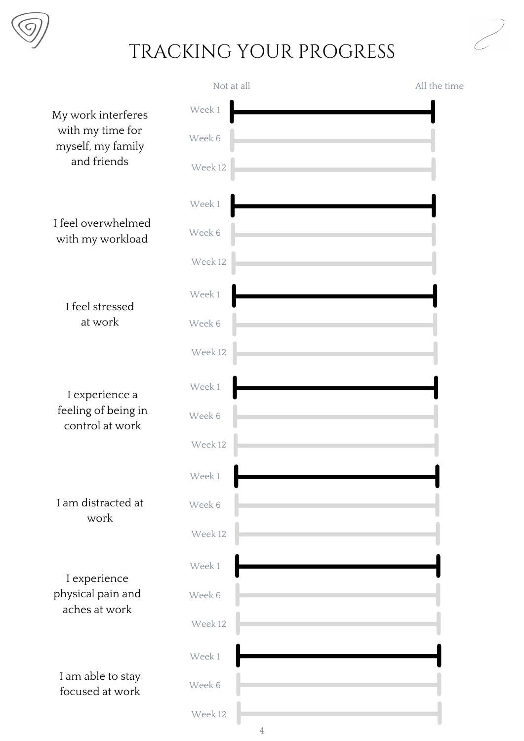

#### TRACKING YOUR PROGRESS

|                                        | Not at all                | All the time |
|----------------------------------------|---------------------------|--------------|
| My work interferes                     | Week 1                    |              |
| with my time for<br>myself, my family  | Week 6                    |              |
| and friends                            | Week 12                   |              |
|                                        | Week 1                    |              |
| I feel overwhelmed<br>with my workload | Week 6                    |              |
|                                        | Week 12                   |              |
| I feel stressed                        | Week 1                    |              |
| at work                                | Week 6                    |              |
|                                        | Week 12                   |              |
| I experience a                         | Week 1                    |              |
| feeling of being in<br>control at work | Week 6                    |              |
|                                        | Week 12                   |              |
|                                        | Week 1                    |              |
| I am distracted at<br>work             | Week 6                    |              |
|                                        | Week 12                   |              |
| I experience                           | Week 1                    |              |
| physical pain and<br>aches at work     | Week 6                    |              |
|                                        | Week 12                   |              |
|                                        | Week 1                    |              |
| I am able to stay<br>focused at work   | Week 6                    |              |
|                                        | Week 12<br>$\overline{4}$ |              |